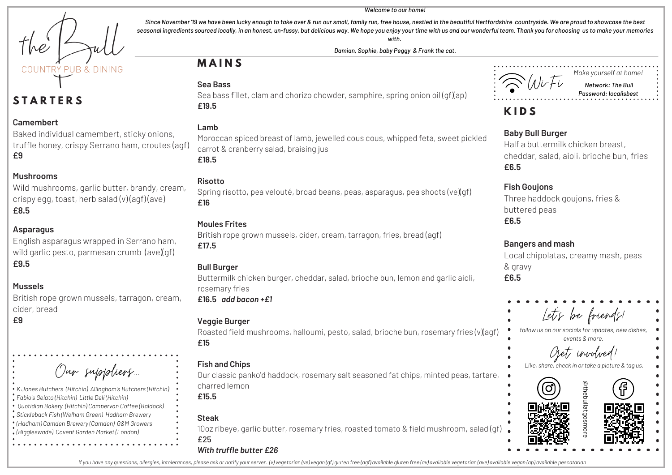COUNTRY PUR & DINING

# **S T A R T E R S**

#### **Camembert**

Baked individual camembert, sticky onions, truffle honey, crispy Serrano ham, croutes (agf) **£9**

#### **Mushrooms**

Wild mushrooms, garlic butter, brandy, cream, crispy egg, toast, herb salad (v) (agf) (ave) **£8.5**

#### **Asparagus**

English asparagus wrapped in Serrano ham, wild garlic pesto, parmesan crumb (ave)(qf) **£9.5**

#### **Mussels**

British rope grown mussels, tarragon, cream, cider, bread

#### **£9**

| Our suppliers.                                            |
|-----------------------------------------------------------|
| K Jones Butchers (Hitchin) Allingham's Butchers (Hitchin) |
| Fabio's Gelato (Hitchin) Little Deli (Hitchin)            |
| Quotidian Bakery (Hitchin) Campervan Coffee (Baldock)     |
| Stickleback Fish (Welham Green) Hadham Brewerv            |

#### *Stickleback Fish (Welham Green) Hadham Brewery (Hadham) Camden Brewery (Camden) G&M Growers (Biggleswade) Covent Garden Market (London)*

Since November '19 we have been lucky enough to take over & run our small, family run, free house, nestled in the beautiful Hertfordshire countryside. We are proud to showcase the best seasonal ingredients sourced locally, in an honest, un-fussy, but delicious way. We hope you enjoy your time with us and our wonderful team. Thank you for choosing us to make your memories *with.*

*Damian, Sophie, baby Peggy & Frank the cat.*

# **M A I N S**

#### **Sea Bass**



*Make yourself at home! Network: The Bull Password: localisbest*

# **K I D S**

#### **Baby Bull Burger**

Half a buttermilk chicken breast, cheddar, salad, aioli, brioche bun, fries **£6.5**

#### **Fish Goujons**

Three haddock goujons, fries & buttered peas **£6.5**

#### **Bangers and mash**

Local chipolatas, creamy mash, peas & gravy **£6.5**

# Let's be friends!

*follow us on our socials for updates, new dishes, events & more.*

Get involved!





Sea bass fillet, clam and chorizo chowder, samphire, spring onion oil (qf)(ap) **£19.5**

#### **Lamb**

Moroccan spiced breast of lamb, jewelled cous cous, whipped feta, sweet pickled carrot & cranberry salad, braising jus **£18.5**

#### **Risotto**

Spring risotto, pea velouté, broad beans, peas, asparagus, pea shoots (ve)(qf) **£16**

#### **Moules Frites**

British rope grown mussels, cider, cream, tarragon, fries, bread (agf) **£17.5**

#### **Bull Burger**

Buttermilk chicken burger, cheddar, salad, brioche bun, lemon and garlic aioli, rosemary fries **£16.5** *add bacon +£1*

#### **Veggie Burger**

Roasted field mushrooms, halloumi, pesto, salad, brioche bun, rosemary fries (v)(agf) **£15**

#### **Fish and Chips**

Our classic panko'd haddock, rosemary salt seasoned fat chips, minted peas, tartare, charred lemon

**£15.5**

#### **Steak**

10oz ribeye, garlic butter, rosemary fries, roasted tomato & field mushroom, salad (gf) £25

#### *With truffle butter £26*

If you have any questions, allergies, intolerances, please ask or notify your server. (v) vegetarian (ve) vegan (gf) gluten free (agf) available gluten free (ay) available yegetarian (ave) available vegan (ap) available pe

#### *Welcome to our home!*